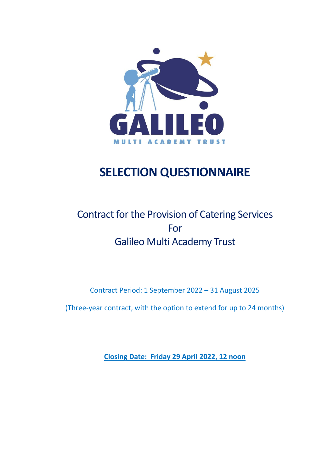

# **SELECTION QUESTIONNAIRE**

## Contract for the Provision of Catering Services For Galileo Multi Academy Trust

Contract Period: 1 September 2022 – 31 August 2025

(Three-year contract, with the option to extend for up to 24 months)

**Closing Date: Friday 29 April 2022, 12 noon**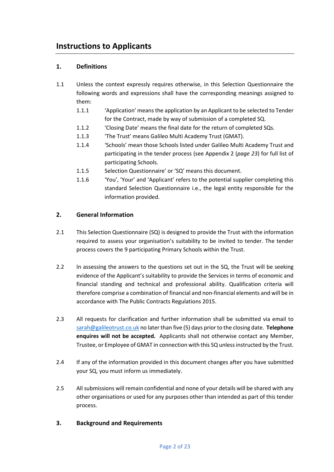### **Instructions to Applicants**

### **1. Definitions**

- 1.1 Unless the context expressly requires otherwise, in this Selection Questionnaire the following words and expressions shall have the corresponding meanings assigned to them:
	- 1.1.1 'Application' means the application by an Applicant to be selected to Tender for the Contract, made by way of submission of a completed SQ.
	- 1.1.2 'Closing Date' means the final date for the return of completed SQs.
	- 1.1.3 'The Trust' means Galileo Multi Academy Trust (GMAT).
	- 1.1.4 'Schools' mean those Schools listed under Galileo Multi Academy Trust and participating in the tender process (see Appendix 2 (*page 23*) for full list of participating Schools.
	- 1.1.5 Selection Questionnaire' or 'SQ' means this document.
	- 1.1.6 'You', 'Your' and 'Applicant' refers to the potential supplier completing this standard Selection Questionnaire i.e., the legal entity responsible for the information provided.

### **2. General Information**

- 2.1 This Selection Questionnaire (SQ) is designed to provide the Trust with the information required to assess your organisation's suitability to be invited to tender. The tender process covers the 9 participating Primary Schools within the Trust.
- 2.2 In assessing the answers to the questions set out in the SQ, the Trust will be seeking evidence of the Applicant's suitability to provide the Services in terms of economic and financial standing and technical and professional ability. Qualification criteria will therefore comprise a combination of financial and non-financial elements and will be in accordance with The Public Contracts Regulations 2015.
- 2.3 All requests for clarification and further information shall be submitted via email to [sarah@galileotrust.co.uk](mailto:sarah@galileotrust.co.uk) no later than five (5) days prior to the closing date. **Telephone enquires will not be accepted.** Applicants shall not otherwise contact any Member, Trustee, or Employee of GMAT in connection with this SQ unless instructed by the Trust.
- 2.4 If any of the information provided in this document changes after you have submitted your SQ, you must inform us immediately.
- 2.5 All submissions will remain confidential and none of your details will be shared with any other organisations or used for any purposes other than intended as part of this tender process.

### **3. Background and Requirements**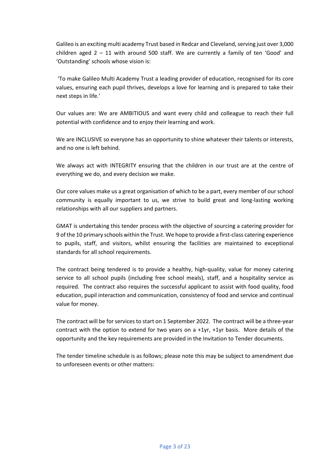Galileo is an exciting multi academy Trust based in Redcar and Cleveland, serving just over 3,000 children aged  $2 - 11$  with around 500 staff. We are currently a family of ten 'Good' and 'Outstanding' schools whose vision is:

'To make Galileo Multi Academy Trust a leading provider of education, recognised for its core values, ensuring each pupil thrives, develops a love for learning and is prepared to take their next steps in life.'

Our values are: We are AMBITIOUS and want every child and colleague to reach their full potential with confidence and to enjoy their learning and work.

We are INCLUSIVE so everyone has an opportunity to shine whatever their talents or interests, and no one is left behind.

We always act with INTEGRITY ensuring that the children in our trust are at the centre of everything we do, and every decision we make.

Our core values make us a great organisation of which to be a part, every member of our school community is equally important to us, we strive to build great and long-lasting working relationships with all our suppliers and partners.

GMAT is undertaking this tender process with the objective of sourcing a catering provider for 9 of the 10 primary schools within the Trust. We hope to provide a first-class catering experience to pupils, staff, and visitors, whilst ensuring the facilities are maintained to exceptional standards for all school requirements.

The contract being tendered is to provide a healthy, high-quality, value for money catering service to all school pupils (including free school meals), staff, and a hospitality service as required. The contract also requires the successful applicant to assist with food quality, food education, pupil interaction and communication, consistency of food and service and continual value for money.

The contract will be for services to start on 1 September 2022. The contract will be a three-year contract with the option to extend for two years on a  $+1yr$ ,  $+1yr$  basis. More details of the opportunity and the key requirements are provided in the Invitation to Tender documents.

The tender timeline schedule is as follows; please note this may be subject to amendment due to unforeseen events or other matters: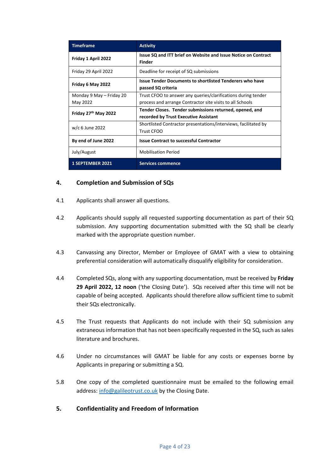| <b>Timeframe</b>         | <b>Activity</b>                                                                       |  |  |
|--------------------------|---------------------------------------------------------------------------------------|--|--|
| Friday 1 April 2022      | Issue SQ and ITT brief on Website and Issue Notice on Contract<br><b>Finder</b>       |  |  |
| Friday 29 April 2022     | Deadline for receipt of SQ submissions                                                |  |  |
| Friday 6 May 2022        | <b>Issue Tender Documents to shortlisted Tenderers who have</b><br>passed SQ criteria |  |  |
| Monday 9 May - Friday 20 | Trust CFOO to answer any queries/clarifications during tender                         |  |  |
| May 2022                 | process and arrange Contractor site visits to all Schools                             |  |  |
| Friday 27th May 2022     | Tender Closes. Tender submissions returned, opened, and                               |  |  |
|                          | recorded by Trust Executive Assistant                                                 |  |  |
| w/c 6 June 2022          | Shortlisted Contractor presentations/interviews, facilitated by                       |  |  |
|                          | <b>Trust CFOO</b>                                                                     |  |  |
| By end of June 2022      | <b>Issue Contract to successful Contractor</b>                                        |  |  |
| July/August              | <b>Mobilisation Period</b>                                                            |  |  |
| <b>1 SEPTEMBER 2021</b>  | <b>Services commence</b>                                                              |  |  |

### **4. Completion and Submission of SQs**

- 4.1 Applicants shall answer all questions.
- 4.2 Applicants should supply all requested supporting documentation as part of their SQ submission. Any supporting documentation submitted with the SQ shall be clearly marked with the appropriate question number.
- 4.3 Canvassing any Director, Member or Employee of GMAT with a view to obtaining preferential consideration will automatically disqualify eligibility for consideration.
- 4.4 Completed SQs, along with any supporting documentation, must be received by **Friday 29 April 2022, 12 noon** ('the Closing Date'). SQs received after this time will not be capable of being accepted. Applicants should therefore allow sufficient time to submit their SQs electronically.
- 4.5 The Trust requests that Applicants do not include with their SQ submission any extraneous information that has not been specifically requested in the SQ, such as sales literature and brochures.
- 4.6 Under no circumstances will GMAT be liable for any costs or expenses borne by Applicants in preparing or submitting a SQ.
- 5.8 One copy of the completed questionnaire must be emailed to the following email address[: info@galileotrust.co.uk](mailto:info@galileotrust.co.uk) by the Closing Date.

### **5. Confidentiality and Freedom of Information**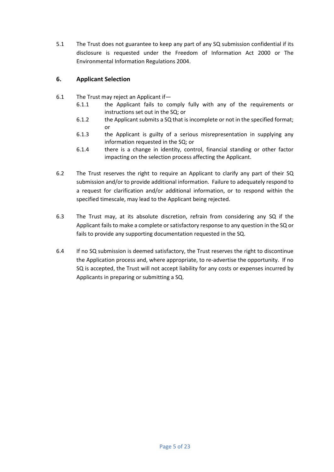5.1 The Trust does not guarantee to keep any part of any SQ submission confidential if its disclosure is requested under the Freedom of Information Act 2000 or The Environmental Information Regulations 2004.

### **6. Applicant Selection**

- 6.1 The Trust may reject an Applicant if—
	- 6.1.1 the Applicant fails to comply fully with any of the requirements or instructions set out in the SQ; or
	- 6.1.2 the Applicant submits a SQ that is incomplete or not in the specified format; or
	- 6.1.3 the Applicant is guilty of a serious misrepresentation in supplying any information requested in the SQ; or
	- 6.1.4 there is a change in identity, control, financial standing or other factor impacting on the selection process affecting the Applicant.
- 6.2 The Trust reserves the right to require an Applicant to clarify any part of their SQ submission and/or to provide additional information. Failure to adequately respond to a request for clarification and/or additional information, or to respond within the specified timescale, may lead to the Applicant being rejected.
- 6.3 The Trust may, at its absolute discretion, refrain from considering any SQ if the Applicant fails to make a complete or satisfactory response to any question in the SQ or fails to provide any supporting documentation requested in the SQ.
- 6.4 If no SQ submission is deemed satisfactory, the Trust reserves the right to discontinue the Application process and, where appropriate, to re-advertise the opportunity. If no SQ is accepted, the Trust will not accept liability for any costs or expenses incurred by Applicants in preparing or submitting a SQ.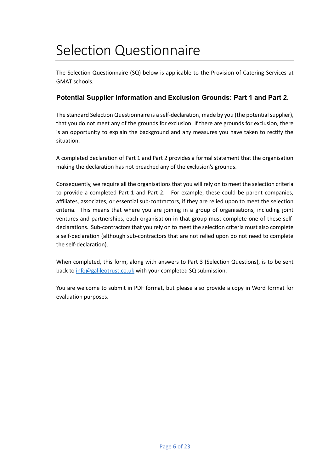# Selection Questionnaire

The Selection Questionnaire (SQ) below is applicable to the Provision of Catering Services at GMAT schools.

### **Potential Supplier Information and Exclusion Grounds: Part 1 and Part 2.**

The standard Selection Questionnaire is a self-declaration, made by you (the potential supplier), that you do not meet any of the grounds for exclusion. If there are grounds for exclusion, there is an opportunity to explain the background and any measures you have taken to rectify the situation.

A completed declaration of Part 1 and Part 2 provides a formal statement that the organisation making the declaration has not breached any of the exclusion's grounds.

Consequently, we require all the organisations that you will rely on to meet the selection criteria to provide a completed Part 1 and Part 2. For example, these could be parent companies, affiliates, associates, or essential sub-contractors, if they are relied upon to meet the selection criteria. This means that where you are joining in a group of organisations, including joint ventures and partnerships, each organisation in that group must complete one of these selfdeclarations. Sub-contractors that you rely on to meet the selection criteria must also complete a self-declaration (although sub-contractors that are not relied upon do not need to complete the self-declaration).

When completed, this form, along with answers to Part 3 (Selection Questions), is to be sent back to [info@galileotrust.co.uk](mailto:info@galileotrust.co.uk) with your completed SQ submission.

You are welcome to submit in PDF format, but please also provide a copy in Word format for evaluation purposes.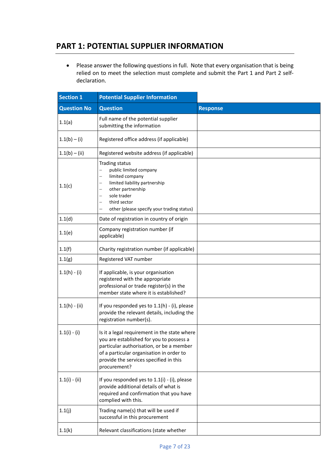### **PART 1: POTENTIAL SUPPLIER INFORMATION**

• Please answer the following questions in full. Note that every organisation that is being relied on to meet the selection must complete and submit the Part 1 and Part 2 selfdeclaration.

| <b>Section 1</b>   | <b>Potential Supplier Information</b>                                                                                                                                                                                                      |                 |
|--------------------|--------------------------------------------------------------------------------------------------------------------------------------------------------------------------------------------------------------------------------------------|-----------------|
| <b>Question No</b> | <b>Question</b>                                                                                                                                                                                                                            | <b>Response</b> |
| 1.1(a)             | Full name of the potential supplier<br>submitting the information                                                                                                                                                                          |                 |
| $1.1(b) - (i)$     | Registered office address (if applicable)                                                                                                                                                                                                  |                 |
| $1.1(b) - (ii)$    | Registered website address (if applicable)                                                                                                                                                                                                 |                 |
| 1.1(c)             | <b>Trading status</b><br>public limited company<br>limited company<br>limited liability partnership<br>other partnership<br>sole trader<br>third sector<br>other (please specify your trading status)<br>$\overline{\phantom{0}}$          |                 |
| 1.1(d)             | Date of registration in country of origin                                                                                                                                                                                                  |                 |
| 1.1(e)             | Company registration number (if<br>applicable)                                                                                                                                                                                             |                 |
| 1.1(f)             | Charity registration number (if applicable)                                                                                                                                                                                                |                 |
| 1.1(g)             | Registered VAT number                                                                                                                                                                                                                      |                 |
| $1.1(h) - (i)$     | If applicable, is your organisation<br>registered with the appropriate<br>professional or trade register(s) in the<br>member state where it is established?                                                                                |                 |
| $1.1(h) - (ii)$    | If you responded yes to 1.1(h) - (i), please<br>provide the relevant details, including the<br>registration number(s).                                                                                                                     |                 |
| $1.1(i) - (i)$     | Is it a legal requirement in the state where<br>you are established for you to possess a<br>particular authorisation, or be a member<br>of a particular organisation in order to<br>provide the services specified in this<br>procurement? |                 |
| $1.1(i) - (ii)$    | If you responded yes to $1.1(i)$ - (i), please<br>provide additional details of what is<br>required and confirmation that you have<br>complied with this.                                                                                  |                 |
| 1.1(j)             | Trading name(s) that will be used if<br>successful in this procurement                                                                                                                                                                     |                 |
| 1.1(k)             | Relevant classifications (state whether                                                                                                                                                                                                    |                 |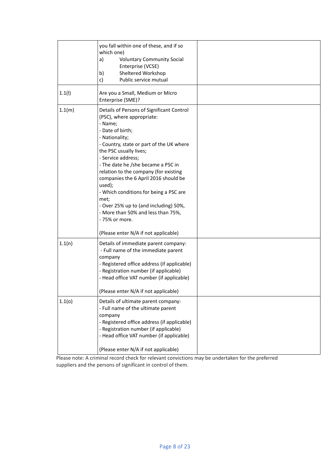|        | you fall within one of these, and if so<br>which one)<br><b>Voluntary Community Social</b><br>a)<br>Enterprise (VCSE)<br>Sheltered Workshop<br>b)<br>Public service mutual<br>c)                                                                                                                                                                                                                                                                                                                        |  |
|--------|---------------------------------------------------------------------------------------------------------------------------------------------------------------------------------------------------------------------------------------------------------------------------------------------------------------------------------------------------------------------------------------------------------------------------------------------------------------------------------------------------------|--|
| 1.1(1) | Are you a Small, Medium or Micro<br>Enterprise (SME)?                                                                                                                                                                                                                                                                                                                                                                                                                                                   |  |
| 1.1(m) | Details of Persons of Significant Control<br>(PSC), where appropriate:<br>- Name;<br>- Date of birth;<br>- Nationality;<br>- Country, state or part of the UK where<br>the PSC usually lives;<br>- Service address;<br>- The date he /she became a PSC in<br>relation to the company (for existing<br>companies the 6 April 2016 should be<br>used);<br>- Which conditions for being a PSC are<br>met;<br>- Over 25% up to (and including) 50%,<br>- More than 50% and less than 75%,<br>- 75% or more. |  |
|        | (Please enter N/A if not applicable)                                                                                                                                                                                                                                                                                                                                                                                                                                                                    |  |
| 1.1(n) | Details of immediate parent company:<br>- Full name of the immediate parent<br>company<br>- Registered office address (if applicable)<br>- Registration number (if applicable)<br>- Head office VAT number (if applicable)                                                                                                                                                                                                                                                                              |  |
|        | (Please enter N/A if not applicable)                                                                                                                                                                                                                                                                                                                                                                                                                                                                    |  |
| 1.1(0) | Details of ultimate parent company:<br>- Full name of the ultimate parent<br>company<br>- Registered office address (if applicable)<br>- Registration number (if applicable)<br>- Head office VAT number (if applicable)<br>(Please enter N/A if not applicable)                                                                                                                                                                                                                                        |  |

Please note: A criminal record check for relevant convictions may be undertaken for the preferred suppliers and the persons of significant in control of them.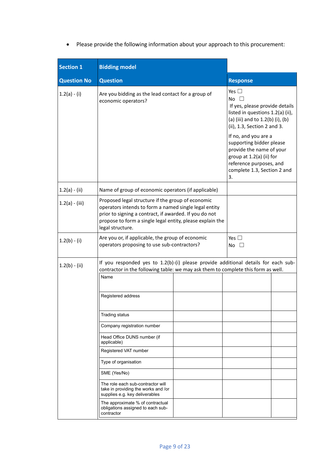• Please provide the following information about your approach to this procurement:

| <b>Section 1</b>   | <b>Bidding model</b>                                                                                                                                                                                                                                                                                                                                                                                                                                                                                                                                                              |                                                                                                                                                                                                                                                                                                                                                    |  |
|--------------------|-----------------------------------------------------------------------------------------------------------------------------------------------------------------------------------------------------------------------------------------------------------------------------------------------------------------------------------------------------------------------------------------------------------------------------------------------------------------------------------------------------------------------------------------------------------------------------------|----------------------------------------------------------------------------------------------------------------------------------------------------------------------------------------------------------------------------------------------------------------------------------------------------------------------------------------------------|--|
| <b>Question No</b> | <b>Question</b>                                                                                                                                                                                                                                                                                                                                                                                                                                                                                                                                                                   | <b>Response</b>                                                                                                                                                                                                                                                                                                                                    |  |
| $1.2(a) - (i)$     | Are you bidding as the lead contact for a group of<br>economic operators?                                                                                                                                                                                                                                                                                                                                                                                                                                                                                                         | Yes $\square$<br>No $\square$<br>If yes, please provide details<br>listed in questions 1.2(a) (ii),<br>(a) (iii) and to 1.2(b) (i), (b)<br>(ii), 1.3, Section 2 and 3.<br>If no, and you are a<br>supporting bidder please<br>provide the name of your<br>group at 1.2(a) (ii) for<br>reference purposes, and<br>complete 1.3, Section 2 and<br>3. |  |
| $1.2(a) - (ii)$    | Name of group of economic operators (if applicable)                                                                                                                                                                                                                                                                                                                                                                                                                                                                                                                               |                                                                                                                                                                                                                                                                                                                                                    |  |
| $1.2(a) - (iii)$   | Proposed legal structure if the group of economic<br>operators intends to form a named single legal entity<br>prior to signing a contract, if awarded. If you do not<br>propose to form a single legal entity, please explain the<br>legal structure.                                                                                                                                                                                                                                                                                                                             |                                                                                                                                                                                                                                                                                                                                                    |  |
| $1.2(b) - (i)$     | Are you or, if applicable, the group of economic<br>operators proposing to use sub-contractors?                                                                                                                                                                                                                                                                                                                                                                                                                                                                                   | Yes $\Box$<br>No $\square$                                                                                                                                                                                                                                                                                                                         |  |
| $1.2(b) - (ii)$    | If you responded yes to 1.2(b)-(i) please provide additional details for each sub-<br>contractor in the following table: we may ask them to complete this form as well.<br>Name<br>Registered address<br><b>Trading status</b><br>Company registration number<br>Head Office DUNS number (if<br>applicable)<br>Registered VAT number<br>Type of organisation<br>SME (Yes/No)<br>The role each sub-contractor will<br>take in providing the works and /or<br>supplies e.g. key deliverables<br>The approximate % of contractual<br>obligations assigned to each sub-<br>contractor |                                                                                                                                                                                                                                                                                                                                                    |  |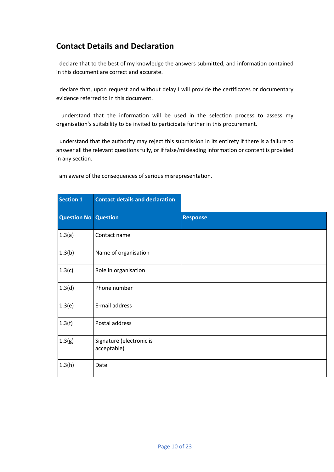### **Contact Details and Declaration**

I declare that to the best of my knowledge the answers submitted, and information contained in this document are correct and accurate.

I declare that, upon request and without delay I will provide the certificates or documentary evidence referred to in this document.

I understand that the information will be used in the selection process to assess my organisation's suitability to be invited to participate further in this procurement.

I understand that the authority may reject this submission in its entirety if there is a failure to answer all the relevant questions fully, or if false/misleading information or content is provided in any section.

| <b>Section 1</b>            | <b>Contact details and declaration</b>  |                 |
|-----------------------------|-----------------------------------------|-----------------|
| <b>Question No Question</b> |                                         | <b>Response</b> |
| 1.3(a)                      | Contact name                            |                 |
| 1.3(b)                      | Name of organisation                    |                 |
| 1.3(c)                      | Role in organisation                    |                 |
| 1.3(d)                      | Phone number                            |                 |
| 1.3(e)                      | E-mail address                          |                 |
| 1.3(f)                      | Postal address                          |                 |
| 1.3(g)                      | Signature (electronic is<br>acceptable) |                 |
| 1.3(h)                      | Date                                    |                 |

I am aware of the consequences of serious misrepresentation.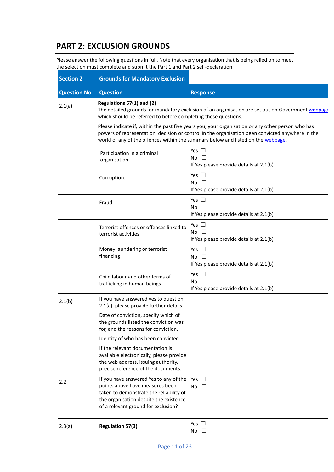### **PART 2: EXCLUSION GROUNDS**

Please answer the following questions in full. Note that every organisation that is being relied on to meet the selection must complete and submit the Part 1 and Part 2 self-declaration.

| <b>Section 2</b>   | <b>Grounds for Mandatory Exclusion</b>                                                                                                                                                                                                                                                                                                                                                                                                                                                        |                                                                          |  |
|--------------------|-----------------------------------------------------------------------------------------------------------------------------------------------------------------------------------------------------------------------------------------------------------------------------------------------------------------------------------------------------------------------------------------------------------------------------------------------------------------------------------------------|--------------------------------------------------------------------------|--|
| <b>Question No</b> | <b>Question</b>                                                                                                                                                                                                                                                                                                                                                                                                                                                                               | <b>Response</b>                                                          |  |
| 2.1(a)             | Regulations 57(1) and (2)<br>The detailed grounds for mandatory exclusion of an organisation are set out on Government webpage<br>which should be referred to before completing these questions.<br>Please indicate if, within the past five years you, your organisation or any other person who has<br>powers of representation, decision or control in the organisation been convicted anywhere in the<br>world of any of the offences within the summary below and listed on the webpage. |                                                                          |  |
|                    | Yes $\square$<br>Participation in a criminal<br>No $\square$<br>organisation.<br>If Yes please provide details at 2.1(b)                                                                                                                                                                                                                                                                                                                                                                      |                                                                          |  |
|                    | Corruption.                                                                                                                                                                                                                                                                                                                                                                                                                                                                                   | Yes $\square$<br>No $\square$<br>If Yes please provide details at 2.1(b) |  |
|                    | Fraud.                                                                                                                                                                                                                                                                                                                                                                                                                                                                                        | Yes $\Box$<br>No $\square$<br>If Yes please provide details at 2.1(b)    |  |
|                    | Terrorist offences or offences linked to<br>terrorist activities                                                                                                                                                                                                                                                                                                                                                                                                                              | Yes $\square$<br>No $\Box$<br>If Yes please provide details at 2.1(b)    |  |
|                    | Money laundering or terrorist<br>financing                                                                                                                                                                                                                                                                                                                                                                                                                                                    | Yes $\square$<br>No $\square$<br>If Yes please provide details at 2.1(b) |  |
|                    | Child labour and other forms of<br>trafficking in human beings                                                                                                                                                                                                                                                                                                                                                                                                                                | Yes $\square$<br>No $\square$<br>If Yes please provide details at 2.1(b) |  |
| 2.1(b)             | If you have answered yes to question<br>2.1(a), please provide further details.                                                                                                                                                                                                                                                                                                                                                                                                               |                                                                          |  |
|                    | Date of conviction, specify which of<br>the grounds listed the conviction was<br>for, and the reasons for conviction,                                                                                                                                                                                                                                                                                                                                                                         |                                                                          |  |
|                    | Identity of who has been convicted                                                                                                                                                                                                                                                                                                                                                                                                                                                            |                                                                          |  |
|                    | If the relevant documentation is<br>available electronically, please provide<br>the web address, issuing authority,<br>precise reference of the documents.                                                                                                                                                                                                                                                                                                                                    |                                                                          |  |
| 2.2                | If you have answered Yes to any of the<br>points above have measures been<br>taken to demonstrate the reliability of<br>the organisation despite the existence<br>of a relevant ground for exclusion?                                                                                                                                                                                                                                                                                         | Yes $\square$<br>No $\square$                                            |  |
| 2.3(a)             | <b>Regulation 57(3)</b>                                                                                                                                                                                                                                                                                                                                                                                                                                                                       | Yes $\square$<br>No $\square$                                            |  |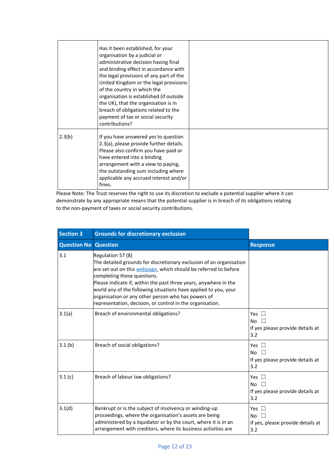|        | Has it been established, for your<br>organisation by a judicial or<br>administrative decision having final<br>and binding effect in accordance with<br>the legal provisions of any part of the<br>United Kingdom or the legal provisions<br>of the country in which the<br>organisation is established (if outside<br>the UK), that the organisation is in<br>breach of obligations related to the<br>payment of tax or social security<br>contributions? |  |
|--------|-----------------------------------------------------------------------------------------------------------------------------------------------------------------------------------------------------------------------------------------------------------------------------------------------------------------------------------------------------------------------------------------------------------------------------------------------------------|--|
| 2.3(b) | If you have answered yes to question<br>2.3(a), please provide further details.<br>Please also confirm you have paid or<br>have entered into a binding<br>arrangement with a view to paying,<br>the outstanding sum including where<br>applicable any accrued interest and/or<br>fines.                                                                                                                                                                   |  |

Please Note: The Trust reserves the right to use its discretion to exclude a potential supplier where it can demonstrate by any appropriate means that the potential supplier is in breach of its obligations relating to the non-payment of taxes or social security contributions.

| <b>Section 3</b>            | <b>Grounds for discretionary exclusion</b>                                                                                                                                                                                                                                                                                                                                                                                                           |                                                                                    |
|-----------------------------|------------------------------------------------------------------------------------------------------------------------------------------------------------------------------------------------------------------------------------------------------------------------------------------------------------------------------------------------------------------------------------------------------------------------------------------------------|------------------------------------------------------------------------------------|
| <b>Question No Question</b> |                                                                                                                                                                                                                                                                                                                                                                                                                                                      | <b>Response</b>                                                                    |
| 3.1                         | Regulation 57 (8)<br>The detailed grounds for discretionary exclusion of an organisation<br>are set out on this webpage, which should be referred to before<br>completing these questions.<br>Please indicate if, within the past three years, anywhere in the<br>world any of the following situations have applied to you, your<br>organisation or any other person who has powers of<br>representation, decision, or control in the organisation. |                                                                                    |
| 3.1(a)                      | Breach of environmental obligations?                                                                                                                                                                                                                                                                                                                                                                                                                 | Yes $\Box$<br><b>No</b><br>$\mathbf{L}$<br>If yes please provide details at<br>3.2 |
| 3.1(b)                      | Breach of social obligations?                                                                                                                                                                                                                                                                                                                                                                                                                        | Yes $\Box$<br><b>No</b><br>If yes please provide details at<br>3.2                 |
| 3.1(c)                      | Breach of labour law obligations?                                                                                                                                                                                                                                                                                                                                                                                                                    | Yes $\Box$<br><b>No</b><br>If yes please provide details at<br>3.2                 |
| 3.1(d)                      | Bankrupt or is the subject of insolvency or winding-up<br>proceedings, where the organisation's assets are being<br>administered by a liquidator or by the court, where it is in an<br>arrangement with creditors, where its business activities are                                                                                                                                                                                                 | Yes $\square$<br><b>No</b><br>If yes, please provide details at<br>3.2             |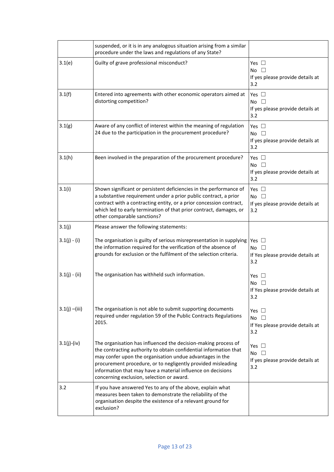|                  | suspended, or it is in any analogous situation arising from a similar<br>procedure under the laws and regulations of any State?                                                                                                                                                                                                                                             |                                                                          |
|------------------|-----------------------------------------------------------------------------------------------------------------------------------------------------------------------------------------------------------------------------------------------------------------------------------------------------------------------------------------------------------------------------|--------------------------------------------------------------------------|
| 3.1(e)           | Guilty of grave professional misconduct?                                                                                                                                                                                                                                                                                                                                    | Yes $\square$<br>No $\square$<br>If yes please provide details at<br>3.2 |
| 3.1(f)           | Entered into agreements with other economic operators aimed at<br>distorting competition?                                                                                                                                                                                                                                                                                   | Yes $\square$<br>No $\square$<br>If yes please provide details at<br>3.2 |
| 3.1(g)           | Aware of any conflict of interest within the meaning of regulation<br>24 due to the participation in the procurement procedure?                                                                                                                                                                                                                                             | Yes $\square$<br>No $\square$<br>If yes please provide details at<br>3.2 |
| 3.1(h)           | Been involved in the preparation of the procurement procedure?                                                                                                                                                                                                                                                                                                              | Yes $\square$<br>No $\square$<br>If yes please provide details at<br>3.2 |
| 3.1(i)           | Shown significant or persistent deficiencies in the performance of<br>a substantive requirement under a prior public contract, a prior<br>contract with a contracting entity, or a prior concession contract,<br>which led to early termination of that prior contract, damages, or<br>other comparable sanctions?                                                          | Yes $\square$<br>No $\square$<br>If yes please provide details at<br>3.2 |
| 3.1(j)           | Please answer the following statements:                                                                                                                                                                                                                                                                                                                                     |                                                                          |
| $3.1(j) - (i)$   | The organisation is guilty of serious misrepresentation in supplying   Yes $\Box$<br>the information required for the verification of the absence of<br>grounds for exclusion or the fulfilment of the selection criteria.                                                                                                                                                  | No $\square$<br>If Yes please provide details at<br>3.2                  |
| $3.1(j) - (ii)$  | The organisation has withheld such information.                                                                                                                                                                                                                                                                                                                             | Yes<br>No.<br>If Yes please provide details at<br>3.2                    |
| $3.1(j) - (iii)$ | The organisation is not able to submit supporting documents<br>required under regulation 59 of the Public Contracts Regulations<br>2015.                                                                                                                                                                                                                                    | Yes $\square$<br>No $\square$<br>If Yes please provide details at<br>3.2 |
| $3.1(j)$ -(iv)   | The organisation has influenced the decision-making process of<br>the contracting authority to obtain confidential information that<br>may confer upon the organisation undue advantages in the<br>procurement procedure, or to negligently provided misleading<br>information that may have a material influence on decisions<br>concerning exclusion, selection or award. | Yes $\Box$<br>No $\square$<br>If yes please provide details at<br>3.2    |
| 3.2              | If you have answered Yes to any of the above, explain what<br>measures been taken to demonstrate the reliability of the<br>organisation despite the existence of a relevant ground for<br>exclusion?                                                                                                                                                                        |                                                                          |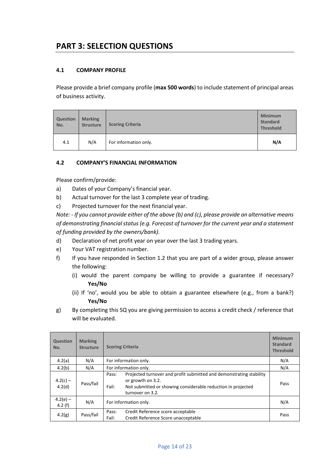### **PART 3: SELECTION QUESTIONS**

### **4.1 COMPANY PROFILE**

Please provide a brief company profile (**max 500 words**) to include statement of principal areas of business activity.

| <b>Question</b><br>No. | <b>Marking</b><br><b>Structure</b> | <b>Scoring Criteria</b> | <b>Minimum</b><br><b>Standard</b><br><b>Threshold</b> |
|------------------------|------------------------------------|-------------------------|-------------------------------------------------------|
| 4.1                    | N/A                                | For information only.   | N/A                                                   |

### **4.2 COMPANY'S FINANCIAL INFORMATION**

Please confirm/provide:

- a) Dates of your Company's financial year.
- b) Actual turnover for the last 3 complete year of trading.
- c) Projected turnover for the next financial year.

*Note: - If you cannot provide either of the above (b) and (c), please provide an alternative means of demonstrating financial status (e.g. Forecast of turnover for the current year and a statement of funding provided by the owners/bank).*

- d) Declaration of net profit year on year over the last 3 trading years.
- e) Your VAT registration number.
- f) If you have responded in Section 1.2 that you are part of a wider group, please answer the following:
	- (i) would the parent company be willing to provide a guarantee if necessary? **Yes/No**
	- (ii) If 'no', would you be able to obtain a guarantee elsewhere (e.g., from a bank?) **Yes/No**
- g) By completing this SQ you are giving permission to access a credit check / reference that will be evaluated.

| <b>Question</b><br>No.  | <b>Marking</b><br><b>Structure</b> | <b>Scoring Criteria</b>                                                                                                                                                                        | <b>Minimum</b><br><b>Standard</b><br><b>Threshold</b> |
|-------------------------|------------------------------------|------------------------------------------------------------------------------------------------------------------------------------------------------------------------------------------------|-------------------------------------------------------|
| 4.2(a)                  | N/A                                | For information only.                                                                                                                                                                          | N/A                                                   |
| 4.2(b)                  | N/A                                | For information only.                                                                                                                                                                          | N/A                                                   |
| $4.2(c) -$<br>4.2(d)    | Pass/fail                          | Projected turnover and profit submitted and demonstrating stability<br>Pass:<br>or growth on 3.2.<br>Fail:<br>Not submitted or showing considerable reduction in projected<br>turnover on 3.2. | Pass                                                  |
| $4.2(e) -$<br>4.2 $(f)$ | N/A                                | For information only.                                                                                                                                                                          | N/A                                                   |
| 4.2(g)                  | Pass/fail                          | Credit Reference score acceptable<br>Pass:<br>Credit Reference Score unacceptable<br>Fail:                                                                                                     | Pass                                                  |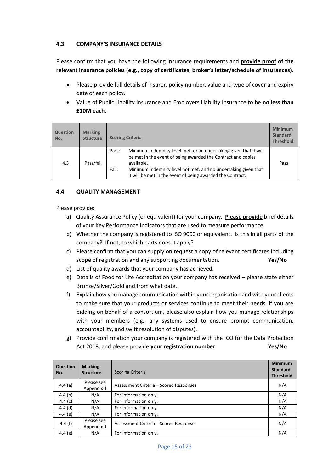### **4.3 COMPANY'S INSURANCE DETAILS**

Please confirm that you have the following insurance requirements and **provide proof of the relevant insurance policies (e.g., copy of certificates, broker's letter/schedule of insurances).**

- Please provide full details of insurer, policy number, value and type of cover and expiry date of each policy.
- Value of Public Liability Insurance and Employers Liability Insurance to be **no less than £10M each.**

| <b>Question</b><br>No. | <b>Marking</b><br><b>Structure</b> | <b>Scoring Criteria</b>                                                                                                                                                                                                                                                                           | <b>Minimum</b><br><b>Standard</b><br><b>Threshold</b> |
|------------------------|------------------------------------|---------------------------------------------------------------------------------------------------------------------------------------------------------------------------------------------------------------------------------------------------------------------------------------------------|-------------------------------------------------------|
| 4.3                    | Pass/fail                          | Minimum indemnity level met, or an undertaking given that it will<br>Pass:<br>be met in the event of being awarded the Contract and copies<br>available.<br>Fail:<br>Minimum indemnity level not met, and no undertaking given that<br>it will be met in the event of being awarded the Contract. | Pass                                                  |

#### **4.4 QUALITY MANAGEMENT**

Please provide:

- a) Quality Assurance Policy (or equivalent) for your company. **Please provide** brief details of your Key Performance Indicators that are used to measure performance.
- b) Whether the company is registered to ISO 9000 or equivalent. Is this in all parts of the company? If not, to which parts does it apply?
- c) Please confirm that you can supply on request a copy of relevant certificates including scope of registration and any supporting documentation. **Yes/No**
- d) List of quality awards that your company has achieved.
- e) Details of Food for Life Accreditation your company has received please state either Bronze/Silver/Gold and from what date.
- f) Explain how you manage communication within your organisation and with your clients to make sure that your products or services continue to meet their needs. If you are bidding on behalf of a consortium, please also explain how you manage relationships with your members (e.g., any systems used to ensure prompt communication, accountability, and swift resolution of disputes).
- g) Provide confirmation your company is registered with the ICO for the Data Protection Act 2018, and please provide **your registration number**. **Yes/No**

| Question<br>No. | <b>Marking</b><br><b>Structure</b> | <b>Scoring Criteria</b>                | <b>Minimum</b><br><b>Standard</b><br><b>Threshold</b> |
|-----------------|------------------------------------|----------------------------------------|-------------------------------------------------------|
| 4.4 $(a)$       | Please see<br>Appendix 1           | Assessment Criteria - Scored Responses | N/A                                                   |
| 4.4(b)          | N/A                                | For information only.                  | N/A                                                   |
| 4.4 $(c)$       | N/A                                | For information only.                  | N/A                                                   |
| 4.4 $(d)$       | N/A                                | For information only.                  | N/A                                                   |
| 4.4 $(e)$       | N/A                                | For information only.                  | N/A                                                   |
| 4.4 $(f)$       | Please see<br>Appendix 1           | Assessment Criteria - Scored Responses | N/A                                                   |
| 4.4 $(g)$       | N/A                                | For information only.                  | N/A                                                   |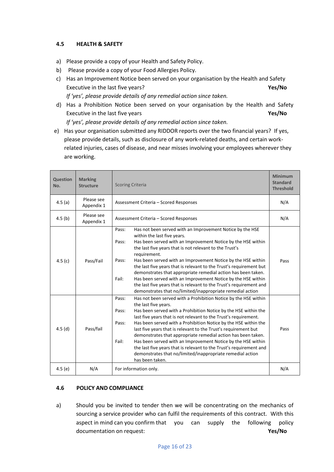#### **4.5 HEALTH & SAFETY**

- a) Please provide a copy of your Health and Safety Policy.
- b) Please provide a copy of your Food Allergies Policy.
- c) Has an Improvement Notice been served on your organisation by the Health and Safety Executive in the last five years? **Yes/No** *If 'yes', please provide details of any remedial action since taken.*
- d) Has a Prohibition Notice been served on your organisation by the Health and Safety Executive in the last five years **Yes/No** *If 'yes', please provide details of any remedial action since taken.*
- e) Has your organisation submitted any RIDDOR reports over the two financial years? If yes, please provide details, such as disclosure of any work-related deaths, and certain workrelated injuries, cases of disease, and near misses involving your employees wherever they are working.

| Question<br>No.    | <b>Marking</b><br><b>Structure</b> | <b>Scoring Criteria</b>                                                                                                                                                                                                                                                                                                                                                                                                                                                                                                                                                                                                                                                                           | <b>Minimum</b><br><b>Standard</b><br><b>Threshold</b> |
|--------------------|------------------------------------|---------------------------------------------------------------------------------------------------------------------------------------------------------------------------------------------------------------------------------------------------------------------------------------------------------------------------------------------------------------------------------------------------------------------------------------------------------------------------------------------------------------------------------------------------------------------------------------------------------------------------------------------------------------------------------------------------|-------------------------------------------------------|
| 4.5(a)             | Please see<br>Appendix 1           | Assessment Criteria - Scored Responses                                                                                                                                                                                                                                                                                                                                                                                                                                                                                                                                                                                                                                                            | N/A                                                   |
| 4.5 <sub>(b)</sub> | Please see<br>Appendix 1           | Assessment Criteria - Scored Responses                                                                                                                                                                                                                                                                                                                                                                                                                                                                                                                                                                                                                                                            | N/A                                                   |
| 4.5 $(c)$          | Pass/Fail                          | Has not been served with an Improvement Notice by the HSE<br>Pass:<br>within the last five years.<br>Has been served with an Improvement Notice by the HSE within<br>Pass:<br>the last five years that is not relevant to the Trust's<br>requirement.<br>Has been served with an Improvement Notice by the HSE within<br>Pass:<br>the last five years that is relevant to the Trust's requirement but<br>demonstrates that appropriate remedial action has been taken.<br>Fail:<br>Has been served with an Improvement Notice by the HSE within<br>the last five years that is relevant to the Trust's requirement and<br>demonstrates that no/limited/inappropriate remedial action              | Pass                                                  |
| 4.5(d)             | Pass/fail                          | Has not been served with a Prohibition Notice by the HSE within<br>Pass:<br>the last five years.<br>Has been served with a Prohibition Notice by the HSE within the<br>Pass:<br>last five years that is not relevant to the Trust's requirement.<br>Has been served with a Prohibition Notice by the HSE within the<br>Pass:<br>last five years that is relevant to the Trust's requirement but<br>demonstrates that appropriate remedial action has been taken.<br>Fail:<br>Has been served with an Improvement Notice by the HSE within<br>the last five years that is relevant to the Trust's requirement and<br>demonstrates that no/limited/inappropriate remedial action<br>has been taken. | Pass                                                  |
| 4.5 $(e)$          | N/A                                | For information only.                                                                                                                                                                                                                                                                                                                                                                                                                                                                                                                                                                                                                                                                             | N/A                                                   |

#### **4.6 POLICY AND COMPLIANCE**

a) Should you be invited to tender then we will be concentrating on the mechanics of sourcing a service provider who can fulfil the requirements of this contract. With this aspect in mind can you confirm that you can supply the following policy documentation on request: **Yes/No**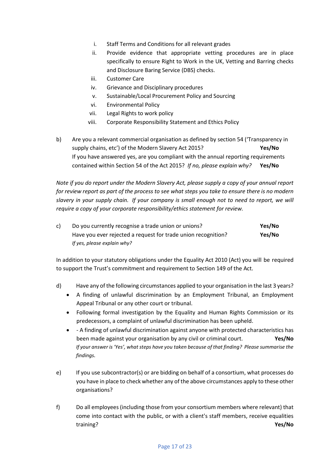- i. Staff Terms and Conditions for all relevant grades
- ii. Provide evidence that appropriate vetting procedures are in place specifically to ensure Right to Work in the UK, Vetting and Barring checks and Disclosure Baring Service (DBS) checks.
- iii. Customer Care
- iv. Grievance and Disciplinary procedures
- v. Sustainable/Local Procurement Policy and Sourcing
- vi. Environmental Policy
- vii. Legal Rights to work policy
- viii. Corporate Responsibility Statement and Ethics Policy
- b) Are you a relevant commercial organisation as defined by section 54 ('Transparency in supply chains, etc') of the Modern Slavery Act 2015? **Yes/No** If you have answered yes, are you compliant with the annual reporting requirements contained within Section 54 of the Act 2015? *If no, please explain why?* **Yes/No**

*Note if you do report under the Modern Slavery Act, please supply a copy of your annual report for review report as part of the process to see what steps you take to ensure there is no modern slavery in your supply chain. If your company is small enough not to need to report, we will require a copy of your corporate responsibility/ethics statement for review.*

| Do you currently recognise a trade union or unions?           | Yes/No |
|---------------------------------------------------------------|--------|
| Have you ever rejected a request for trade union recognition? | Yes/No |
| If yes, please explain why?                                   |        |

In addition to your statutory obligations under the Equality Act 2010 (Act) you will be required to support the Trust's commitment and requirement to Section 149 of the Act.

- d) Have any of the following circumstances applied to your organisation in the last 3 years?
	- A finding of unlawful discrimination by an Employment Tribunal, an Employment Appeal Tribunal or any other court or tribunal.
	- Following formal investigation by the Equality and Human Rights Commission or its predecessors, a complaint of unlawful discrimination has been upheld.
	- - A finding of unlawful discrimination against anyone with protected characteristics has been made against your organisation by any civil or criminal court. **Yes/No** *If your answer is 'Yes', what steps have you taken because of that finding? Please summarise the findings.*
- e) If you use subcontractor(s) or are bidding on behalf of a consortium, what processes do you have in place to check whether any of the above circumstances apply to these other organisations?
- f) Do all employees (including those from your consortium members where relevant) that come into contact with the public, or with a client's staff members, receive equalities training? **Yes/No**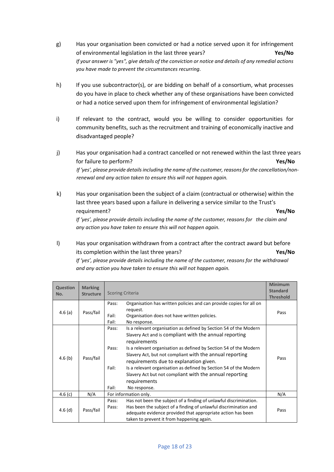- g) Has your organisation been convicted or had a notice served upon it for infringement of environmental legislation in the last three years? **Yes/No** *If your answer is "yes", give details of the conviction or notice and details of any remedial actions you have made to prevent the circumstances recurring.*
- h) If you use subcontractor(s), or are bidding on behalf of a consortium, what processes do you have in place to check whether any of these organisations have been convicted or had a notice served upon them for infringement of environmental legislation?
- i) If relevant to the contract, would you be willing to consider opportunities for community benefits, such as the recruitment and training of economically inactive and disadvantaged people?
- j) Has your organisation had a contract cancelled or not renewed within the last three years for failure to perform? **Yes/No** If 'yes', please provide details including the name of the customer, reasons for the cancellation/non*renewal and any action taken to ensure this will not happen again.*
- k) Has your organisation been the subject of a claim (contractual or otherwise) within the last three years based upon a failure in delivering a service similar to the Trust's requirement? **Yes/No** *If 'yes', please provide details including the name of the customer, reasons for the claim and any action you have taken to ensure this will not happen again.*
- l) Has your organisation withdrawn from a contract after the contract award but before its completion within the last three years? **Yes/No**

*If 'yes', please provide details including the name of the customer, reasons for the withdrawal and any action you have taken to ensure this will not happen again.*

|                        |                                    |                                                                                                                                                                                                                                                                                                                                                                                                                                                                                                                            | <b>Minimum</b>   |
|------------------------|------------------------------------|----------------------------------------------------------------------------------------------------------------------------------------------------------------------------------------------------------------------------------------------------------------------------------------------------------------------------------------------------------------------------------------------------------------------------------------------------------------------------------------------------------------------------|------------------|
| <b>Question</b><br>No. | <b>Marking</b><br><b>Structure</b> | <b>Scoring Criteria</b>                                                                                                                                                                                                                                                                                                                                                                                                                                                                                                    | <b>Standard</b>  |
|                        |                                    |                                                                                                                                                                                                                                                                                                                                                                                                                                                                                                                            | <b>Threshold</b> |
| 4.6 $(a)$              | Pass/fail                          | Organisation has written policies and can provide copies for all on<br>Pass:<br>request.<br>Organisation does not have written policies.<br>Fail:<br>Fail:<br>No response.                                                                                                                                                                                                                                                                                                                                                 | Pass             |
| 4.6(b)                 | Pass/fail                          | Is a relevant organisation as defined by Section 54 of the Modern<br>Pass:<br>Slavery Act and is compliant with the annual reporting<br>requirements<br>Is a relevant organisation as defined by Section 54 of the Modern<br>Pass:<br>Slavery Act, but not compliant with the annual reporting<br>requirements due to explanation given.<br>Is a relevant organisation as defined by Section 54 of the Modern<br>Fail:<br>Slavery Act but not compliant with the annual reporting<br>requirements<br>Fail:<br>No response. | Pass             |
| 4.6 $(c)$              | N/A                                | For information only.                                                                                                                                                                                                                                                                                                                                                                                                                                                                                                      | N/A              |
| $4.6$ (d)              | Pass/fail                          | Has not been the subject of a finding of unlawful discrimination.<br>Pass:<br>Has been the subject of a finding of unlawful discrimination and<br>Pass:<br>adequate evidence provided that appropriate action has been<br>taken to prevent it from happening again.                                                                                                                                                                                                                                                        | Pass             |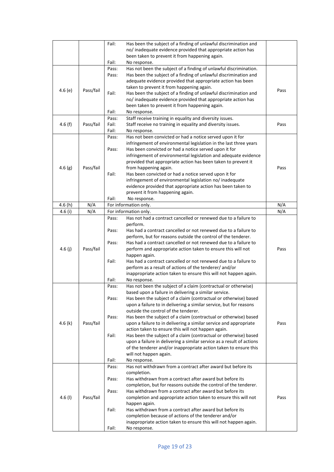|           |           | Fail: | Has been the subject of a finding of unlawful discrimination and                                                             |      |
|-----------|-----------|-------|------------------------------------------------------------------------------------------------------------------------------|------|
|           |           |       | no/ inadequate evidence provided that appropriate action has                                                                 |      |
|           |           |       | been taken to prevent it from happening again.                                                                               |      |
|           |           | Fail: | No response.                                                                                                                 |      |
|           |           | Pass: | Has not been the subject of a finding of unlawful discrimination.                                                            |      |
|           |           | Pass: | Has been the subject of a finding of unlawful discrimination and                                                             |      |
|           |           |       | adequate evidence provided that appropriate action has been                                                                  |      |
| 4.6(e)    | Pass/fail |       | taken to prevent it from happening again.                                                                                    | Pass |
|           |           | Fail: | Has been the subject of a finding of unlawful discrimination and                                                             |      |
|           |           |       | no/ inadequate evidence provided that appropriate action has                                                                 |      |
|           |           |       | been taken to prevent it from happening again.                                                                               |      |
|           |           | Fail: | No response.                                                                                                                 |      |
|           |           | Pass: | Staff receive training in equality and diversity issues.                                                                     |      |
| 4.6(f)    | Pass/fail | Fail: | Staff receive no training in equality and diversity issues.                                                                  | Pass |
|           |           | Fail: | No response.                                                                                                                 |      |
|           |           | Pass: | Has not been convicted or had a notice served upon it for                                                                    |      |
|           |           | Pass: | infringement of environmental legislation in the last three years<br>Has been convicted or had a notice served upon it for   |      |
|           |           |       | infringement of environmental legislation and adequate evidence                                                              |      |
|           |           |       | provided that appropriate action has been taken to prevent it                                                                |      |
| 4.6(g)    | Pass/fail |       | from happening again.                                                                                                        | Pass |
|           |           | Fail: | Has been convicted or had a notice served upon it for                                                                        |      |
|           |           |       | infringement of environmental legislation no/ inadequate                                                                     |      |
|           |           |       | evidence provided that appropriate action has been taken to                                                                  |      |
|           |           |       | prevent it from happening again.                                                                                             |      |
|           |           | Fail: | No response.                                                                                                                 |      |
| 4.6 (h)   | N/A       |       | For information only.                                                                                                        | N/A  |
| 4.6(i)    | N/A       |       | For information only.                                                                                                        | N/A  |
|           |           | Pass: | Has not had a contract cancelled or renewed due to a failure to                                                              |      |
|           |           |       | perform.                                                                                                                     |      |
|           |           | Pass: | Has had a contract cancelled or not renewed due to a failure to                                                              |      |
|           |           |       | perform, but for reasons outside the control of the tenderer.                                                                |      |
|           |           | Pass: | Has had a contract cancelled or not renewed due to a failure to                                                              |      |
| 4.6 $(j)$ | Pass/fail |       | perform and appropriate action taken to ensure this will not                                                                 | Pass |
|           |           |       | happen again.                                                                                                                |      |
|           |           | Fail: | Has had a contract cancelled or not renewed due to a failure to                                                              |      |
|           |           |       | perform as a result of actions of the tenderer/ and/or                                                                       |      |
|           |           | Fail: | inappropriate action taken to ensure this will not happen again.                                                             |      |
|           |           | Pass: | No response.<br>Has not been the subject of a claim (contractual or otherwise)                                               |      |
|           |           |       | based upon a failure in delivering a similar service.                                                                        |      |
|           |           | Pass: | Has been the subject of a claim (contractual or otherwise) based                                                             |      |
|           |           |       | upon a failure to in delivering a similar service, but for reasons                                                           |      |
|           |           |       | outside the control of the tenderer.                                                                                         |      |
|           |           | Pass: | Has been the subject of a claim (contractual or otherwise) based                                                             |      |
| 4.6 $(k)$ | Pass/fail |       | upon a failure to in delivering a similar service and appropriate                                                            | Pass |
|           |           |       | action taken to ensure this will not happen again.                                                                           |      |
|           |           | Fail: | Has been the subject of a claim (contractual or otherwise) based                                                             |      |
|           |           |       | upon a failure in delivering a similar service as a result of actions                                                        |      |
|           |           |       | of the tenderer and/or inappropriate action taken to ensure this                                                             |      |
|           |           |       | will not happen again.                                                                                                       |      |
|           |           | Fail: | No response.                                                                                                                 |      |
|           |           | Pass: | Has not withdrawn from a contract after award but before its                                                                 |      |
|           |           |       | completion.                                                                                                                  |      |
|           |           | Pass: | Has withdrawn from a contract after award but before its<br>completion, but for reasons outside the control of the tenderer. |      |
|           |           | Pass: | Has withdrawn from a contract after award but before its                                                                     |      |
| 4.6 $(1)$ | Pass/fail |       | completion and appropriate action taken to ensure this will not                                                              | Pass |
|           |           |       | happen again.                                                                                                                |      |
|           |           | Fail: | Has withdrawn from a contract after award but before its                                                                     |      |
|           |           |       | completion because of actions of the tenderer and/or                                                                         |      |
|           |           |       | inappropriate action taken to ensure this will not happen again.                                                             |      |
|           |           | Fail: | No response.                                                                                                                 |      |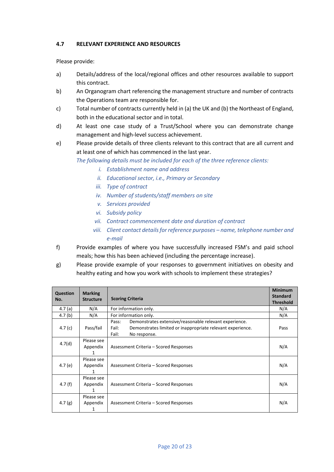#### **4.7 RELEVANT EXPERIENCE AND RESOURCES**

Please provide:

- a) Details/address of the local/regional offices and other resources available to support this contract.
- b) An Organogram chart referencing the management structure and number of contracts the Operations team are responsible for.
- c) Total number of contracts currently held in (a) the UK and (b) the Northeast of England, both in the educational sector and in total.
- d) At least one case study of a Trust/School where you can demonstrate change management and high-level success achievement.
- e) Please provide details of three clients relevant to this contract that are all current and at least one of which has commenced in the last year.

*The following details must be included for each of the three reference clients:*

- *i. Establishment name and address*
- *ii. Educational sector, i.e., Primary or Secondary*
- *iii. Type of contract*
- *iv. Number of students/staff members on site*
- *v. Services provided*
- *vi. Subsidy policy*
- *vii. Contract commencement date and duration of contract*
- *viii.* Client contact details for reference purposes name, telephone number and *e-mail*
- f) Provide examples of where you have successfully increased FSM's and paid school meals; how this has been achieved (including the percentage increase).
- g) Please provide example of your responses to government initiatives on obesity and healthy eating and how you work with schools to implement these strategies?

| Question<br>No.    | <b>Marking</b><br><b>Structure</b> | <b>Scoring Criteria</b>                                                                                                                                         | <b>Minimum</b><br><b>Standard</b><br><b>Threshold</b> |
|--------------------|------------------------------------|-----------------------------------------------------------------------------------------------------------------------------------------------------------------|-------------------------------------------------------|
| 4.7 $(a)$          | N/A                                | For information only.                                                                                                                                           |                                                       |
| 4.7 <sub>(b)</sub> | N/A                                | For information only.                                                                                                                                           | N/A                                                   |
| 4.7 $(c)$          | Pass/fail                          | Demonstrates extensive/reasonable relevant experience.<br>Pass:<br>Fail:<br>Demonstrates limited or inappropriate relevant experience.<br>Fail:<br>No response. | Pass                                                  |
| 4.7(d)             | Please see<br>Appendix<br>1        | Assessment Criteria - Scored Responses                                                                                                                          | N/A                                                   |
| 4.7 $(e)$          | Please see<br>Appendix<br>1        | Assessment Criteria – Scored Responses                                                                                                                          | N/A                                                   |
| 4.7 (f)            | Please see<br>Appendix<br>1        | Assessment Criteria – Scored Responses                                                                                                                          | N/A                                                   |
| 4.7 $(g)$          | Please see<br>Appendix<br>1        | Assessment Criteria – Scored Responses                                                                                                                          | N/A                                                   |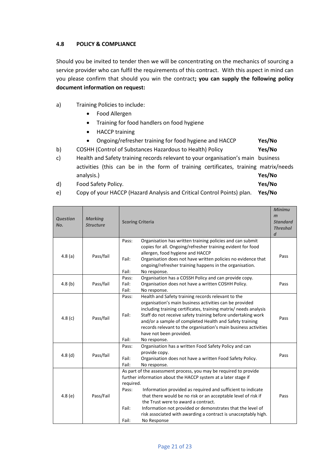#### **4.8 POLICY & COMPLIANCE**

Should you be invited to tender then we will be concentrating on the mechanics of sourcing a service provider who can fulfil the requirements of this contract. With this aspect in mind can you please confirm that should you win the contract**; you can supply the following policy document information on request:** 

- a) Training Policies to include:
	- Food Allergen
	- Training for food handlers on food hygiene
	- HACCP training
	- Ongoing/refresher training for food hygiene and HACCP **Yes/No**
- b) COSHH (Control of Substances Hazardous to Health) Policy **Yes/No**
- c) Health and Safety training records relevant to your organisation's main business activities (this can be in the form of training certificates, training matrix/needs analysis.) **Yes/No**
- d) Food Safety Policy. **Yes/No**

e) Copy of your HACCP (Hazard Analysis and Critical Control Points) plan. **Yes/No**

| <b>Question</b><br>No. | <b>Marking</b><br><b>Structure</b> | <b>Scoring Criteria</b>                                                                                                                                                                                                                                                                                                                                                                                                                                                                           | <b>Minimu</b><br>m<br><b>Standard</b><br><b>Threshol</b><br>$\boldsymbol{d}$ |
|------------------------|------------------------------------|---------------------------------------------------------------------------------------------------------------------------------------------------------------------------------------------------------------------------------------------------------------------------------------------------------------------------------------------------------------------------------------------------------------------------------------------------------------------------------------------------|------------------------------------------------------------------------------|
| 4.8(a)                 | Pass/fail                          | Organisation has written training policies and can submit<br>Pass:<br>copies for all. Ongoing/refresher training evident for food<br>allergen, food hygiene and HACCP<br>Fail:<br>Organisation does not have written policies no evidence that<br>ongoing/refresher training happens in the organisation.<br>Fail:<br>No response.                                                                                                                                                                | Pass                                                                         |
| 4.8(b)                 | Pass/fail                          | Organisation has a COSSH Policy and can provide copy.<br>Pass:<br>Fail:<br>Organisation does not have a written COSHH Policy.<br>Fail:<br>No response.                                                                                                                                                                                                                                                                                                                                            | Pass                                                                         |
| 4.8(c)                 | Pass/fail                          | Health and Safety training records relevant to the<br>Pass:<br>organisation's main business activities can be provided<br>including training certificates, training matrix/ needs analysis<br>Fail:<br>Staff do not receive safety training before undertaking work<br>and/or a sample of completed Health and Safety training<br>records relevant to the organisation's main business activities<br>have not been provided.<br>Fail:<br>No response.                                             | Pass                                                                         |
| 4.8(d)                 | Pass/fail                          | Organisation has a written Food Safety Policy and can<br>Pass:<br>provide copy.<br>Fail:<br>Organisation does not have a written Food Safety Policy.<br>Fail:<br>No response.                                                                                                                                                                                                                                                                                                                     | Pass                                                                         |
| 4.8(e)                 | Pass/Fail                          | As part of the assessment process, you may be required to provide<br>further information about the HACCP system at a later stage if<br>required.<br>Information provided as required and sufficient to indicate<br>Pass:<br>that there would be no risk or an acceptable level of risk if<br>the Trust were to award a contract.<br>Fail:<br>Information not provided or demonstrates that the level of<br>risk associated with awarding a contract is unacceptably high.<br>Fail:<br>No Response | Pass                                                                         |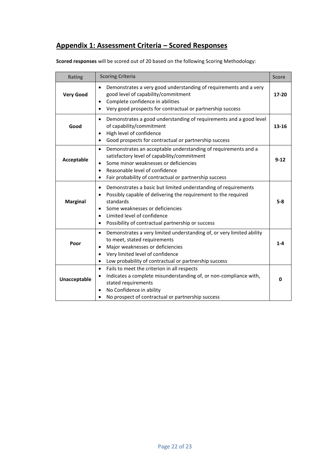### **Appendix 1: Assessment Criteria – Scored Responses**

| <b>Rating</b>    | <b>Scoring Criteria</b>                                                                                                                                                                                                                                                                                                               | <b>Score</b> |
|------------------|---------------------------------------------------------------------------------------------------------------------------------------------------------------------------------------------------------------------------------------------------------------------------------------------------------------------------------------|--------------|
| <b>Very Good</b> | Demonstrates a very good understanding of requirements and a very<br>$\bullet$<br>good level of capability/commitment<br>Complete confidence in abilities<br>$\bullet$<br>Very good prospects for contractual or partnership success<br>$\bullet$                                                                                     | $17 - 20$    |
| Good             | Demonstrates a good understanding of requirements and a good level<br>$\bullet$<br>of capability/commitment<br>High level of confidence<br>$\bullet$<br>Good prospects for contractual or partnership success<br>$\bullet$                                                                                                            | $13 - 16$    |
| Acceptable       | Demonstrates an acceptable understanding of requirements and a<br>$\bullet$<br>satisfactory level of capability/commitment<br>Some minor weaknesses or deficiencies<br>$\bullet$<br>Reasonable level of confidence<br>$\bullet$<br>Fair probability of contractual or partnership success<br>$\bullet$                                | $9 - 12$     |
| <b>Marginal</b>  | Demonstrates a basic but limited understanding of requirements<br>$\bullet$<br>Possibly capable of delivering the requirement to the required<br>$\bullet$<br>standards<br>Some weaknesses or deficiencies<br>$\bullet$<br>Limited level of confidence<br>$\bullet$<br>Possibility of contractual partnership or success<br>$\bullet$ | $5 - 8$      |
| Poor             | Demonstrates a very limited understanding of, or very limited ability<br>$\bullet$<br>to meet, stated requirements<br>Major weaknesses or deficiencies<br>$\bullet$<br>Very limited level of confidence<br>$\bullet$<br>Low probability of contractual or partnership success<br>$\bullet$                                            | $1 - 4$      |
| Unacceptable     | Fails to meet the criterion in all respects<br>$\bullet$<br>Indicates a complete misunderstanding of, or non-compliance with,<br>٠<br>stated requirements<br>No Confidence in ability<br>$\bullet$<br>No prospect of contractual or partnership success<br>$\bullet$                                                                  | 0            |

**Scored responses** will be scored out of 20 based on the following Scoring Methodology: